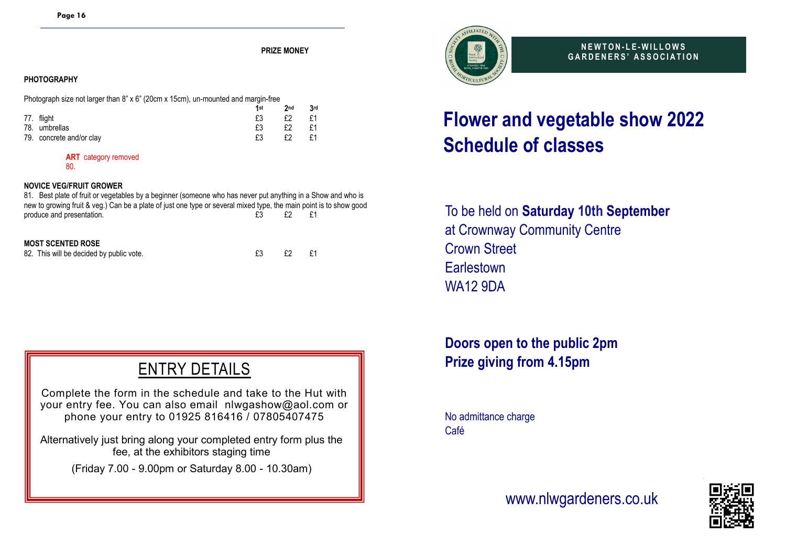**PRIZE MONEY**

#### **PHOTOGRAPHY**

Photograph size not larger than 8" x 6" (20cm x 15cm), un-mounted and margin-free

|                          | 1st | 2 <sub>nd</sub> | 3rd |
|--------------------------|-----|-----------------|-----|
| 77. flight               |     | £2              | £1  |
| 78. umbrellas            | £3  | £2              | £1  |
| 79. concrete and/or clay |     | £2              | £1  |

#### **ART** category removed

80.

#### **NOVICE VEG/FRUIT GROWER**

81.Best plate of fruit or vegetables by a beginner (someone who has never put anything in a Show and who is new to growing fruit & veg.) Can be a plate of just one type or several mixed type, the main point is to show good<br>roduce and presentation<br>f3<br>f f f s produce and presentation. <br>
£3

#### **MOST SCENTED ROSE**

82. This will be decided by public vote. <br>
82. E3 E2 E1

## ENTRY DETAILS

Complete the form in the schedule and take to the Hut with your entry fee. You can also email nlwgashow@aol.com or phone your entry to 01925 816416 / 07805407475

Alternatively just bring along your completed entry form plus the fee, at the exhibitors staging time

(Friday 7.00 - 9.00pm or Saturday 8.00 - 10.30am)



**N E W T O N - L E - W I L L O W S G A R D E N E R S ' A S S O C I A T I O N**

# **Flower and vegetable show 2022 Schedule of classes**

To be held on **Saturday 10th September** at Crownway Community Centre Crown Street **Earlestown** WA12 9DA

**Doors open to the public 2pm Prize giving from 4.15pm**

No admittance charge Café

### www.nlwgardeners.co.uk

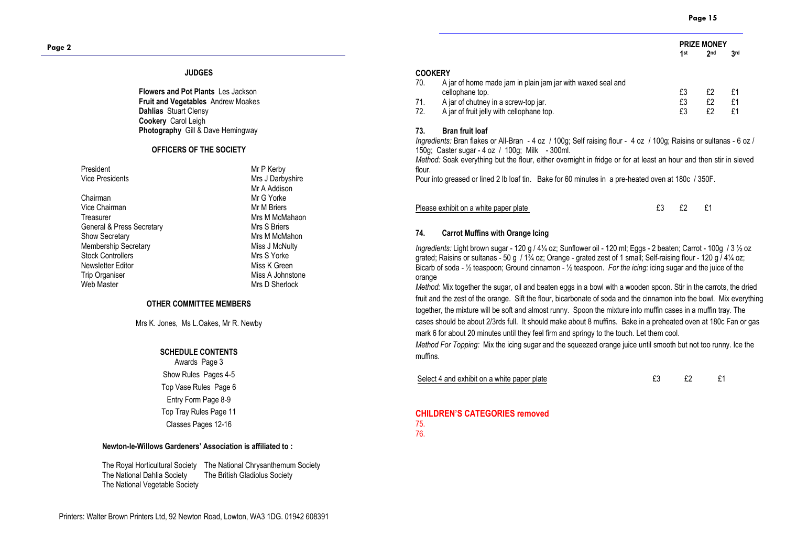**PRIZE MONEY**<br>1st 2nd **1 st 2**

**nd 3 rd**

#### **JUDGES**

**Flowers and Pot Plants** Les Jackson **Fruit and Vegetables** Andrew Moakes **Dahlias** Stuart Clensy **Cookery** Carol Leigh **Photography** Gill & Dave Hemingway

#### **OFFICERS OF THE SOCIETY**

| President |                        |  |  |  |
|-----------|------------------------|--|--|--|
|           | <b>Vice Presidents</b> |  |  |  |

Chairman Mr G Yorke Vice Chairman Mr M Briers Treasurer MacMahaon (1995)<br>Treasurer MacMahaon (1995)<br>Mrs S. Rriers MacManagement Mrs S. Rriers General & Press Secretary<br>Show Secretary Membership Secretary Miss J McNulty Stock Controllers Mrs S Yorke<br>
Newsletter Editor Miss K Green Newsletter Editor<br>Trip Organiser Trip Organiser and the Miss A Johnstone Miss A Johnstone Miss A Johnstone Web Miss A Johnstone Web Miss A Johnstone Web Miss A Johnstone Web Miss A Johnstone Web Miss A Johnstone Web Miss A Johnstone Web Miss A Johnstone W

**Mr P Kerby** Mrs J Darbyshire Mr A Addison Mrs M McMahon Mrs D Sherlock

#### **OTHER COMMITTEE MEMBERS**

Mrs K. Jones, Ms L.Oakes, Mr R. Newby

#### **SCHEDULE CONTENTS**

Awards Page 3 Show Rules Pages 4-5 Top Vase Rules Page 6 Entry Form Page 8-9 Top Tray Rules Page 11 Classes Pages 12-16

#### **Newton-le-Willows Gardeners' Association is affiliated to :**

The Royal Horticultural Society The National Chrysanthemum Society The National Dahlia Society The British Gladiolus Society The National Vegetable Society

#### **COOKERY**

| 70. | A jar of home made jam in plain jam jar with waxed seal and |    |    |    |
|-----|-------------------------------------------------------------|----|----|----|
|     | cellophane top.                                             |    |    |    |
| 71. | A jar of chutney in a screw-top jar.                        |    |    | £1 |
| 72. | A jar of fruit jelly with cellophane top.                   | £3 | £2 | £1 |
|     |                                                             |    |    |    |

#### **73. Bran fruit loaf**

*Ingredients:* Bran flakes or All-Bran - 4 oz / 100g; Self raising flour - 4 oz / 100g; Raisins or sultanas - 6 oz / 150g; Caster sugar - 4 oz / 100g; Milk - 300ml.

*Method:* Soak everything but the flour, either overnight in fridge or for at least an hour and then stir in sieved flour.

Pour into greased or lined 2 lb loaf tin. Bake for 60 minutes in a pre-heated oven at 180c / 350F.

| Please exhibit on a white paper plate |  |  |
|---------------------------------------|--|--|
|                                       |  |  |

#### **74. Carrot Muffins with Orange Icing**

*Ingredients:* Light brown sugar - 120 g / 4¼ oz; Sunflower oil - 120 ml; Eggs - 2 beaten; Carrot - 100g / 3 ½ oz grated; Raisins or sultanas - 50 g / 1¾ oz; Orange - grated zest of 1 small; Self-raising flour - 120 g / 4¼ oz; Bicarb of soda - ½ teaspoon; Ground cinnamon - ½ teaspoon. *For the icing:* icing sugar and the juice of the orange

*Method:* Mix together the sugar, oil and beaten eggs in a bowl with a wooden spoon. Stir in the carrots, the dried fruit and the zest of the orange. Sift the flour, bicarbonate of soda and the cinnamon into the bowl. Mix everything together, the mixture will be soft and almost runny. Spoon the mixture into muffin cases in a muffin tray. The cases should be about 2/3rds full. It should make about 8 muffins. Bake in a preheated oven at 180c Fan or gas mark 6 for about 20 minutes until they feel firm and springy to the touch. Let them cool.

*Method For Topping:* Mix the icing sugar and the squeezed orange juice until smooth but not too runny. Ice the muffins.

Select 4 and exhibit on a white paper plate **EXEM EXEM** E2 E1

#### **CHILDREN'S CATEGORIES removed**  75.

76.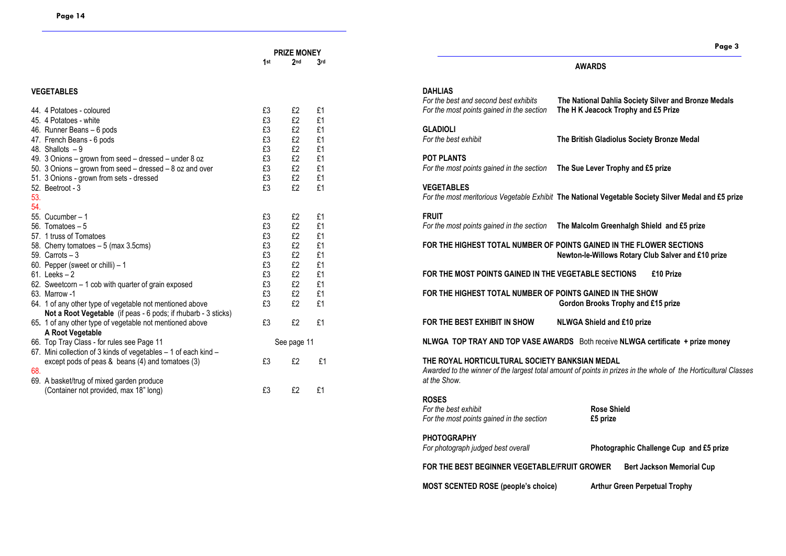#### **VEGETABLES**

|     | 44. 4 Potatoes - coloured                                       | £3 | £2          | £1 |
|-----|-----------------------------------------------------------------|----|-------------|----|
|     | 45. 4 Potatoes - white                                          | £3 | £2          | £1 |
|     | 46. Runner Beans - 6 pods                                       | £3 | £2          | £1 |
|     | 47. French Beans - 6 pods                                       | £3 | £2          | £1 |
|     | 48. Shallots $-9$                                               | £3 | £2          | £1 |
|     | 49. 3 Onions – grown from seed – dressed – under 8 oz           | £3 | £2          | £1 |
|     | 50. 3 Onions - grown from seed - dressed - 8 oz and over        | £3 | £2          | £1 |
|     | 51. 3 Onions - grown from sets - dressed                        | £3 | £2          | £1 |
|     | 52. Beetroot - 3                                                | £3 | £2          | £1 |
| 53. |                                                                 |    |             |    |
| 54. |                                                                 |    |             |    |
|     | 55. Cucumber - 1                                                | £3 | £2          | £1 |
|     | 56. Tomatoes $-5$                                               | £3 | £2          | £1 |
|     | 57. 1 truss of Tomatoes                                         | £3 | £2          | £1 |
|     | 58. Cherry tomatoes - 5 (max 3.5cms)                            | £3 | £2          | £1 |
|     | 59. Carrots $-3$                                                | £3 | £2          | £1 |
|     | 60. Pepper (sweet or chilli) – 1                                | £3 | £2          | £1 |
|     | $61.$ Leeks $-2$                                                | £3 | £2          | £1 |
|     | 62. Sweetcorn - 1 cob with quarter of grain exposed             | £3 | £2          | £1 |
|     | 63. Marrow -1                                                   | £3 | £2          | £1 |
|     | 64. 1 of any other type of vegetable not mentioned above        | £3 | £2          | £1 |
|     | Not a Root Vegetable (if peas - 6 pods; if rhubarb - 3 sticks)  |    |             |    |
|     | 65. 1 of any other type of vegetable not mentioned above        | £3 | £2          | £1 |
|     | A Root Vegetable                                                |    |             |    |
|     | 66. Top Tray Class - for rules see Page 11                      |    | See page 11 |    |
|     | 67. Mini collection of 3 kinds of vegetables – 1 of each kind – |    |             |    |
|     | except pods of peas $\&$ beans (4) and tomatoes (3)             | £3 | £2          | £1 |
| 68. |                                                                 |    |             |    |
|     | 69. A basket/trug of mixed garden produce                       |    |             |    |
|     | (Container not provided, max 18" long)                          | £3 | £2          | £1 |

#### **AWARDS**

| <b>DAHLIAS</b><br>For the best and second best exhibits<br>For the most points gained in the section | The National Dahlia Society Silver and Bronze Medals<br>The HK Jeacock Trophy and £5 Prize                                 |  |  |  |
|------------------------------------------------------------------------------------------------------|----------------------------------------------------------------------------------------------------------------------------|--|--|--|
| <b>GLADIOLI</b><br>For the best exhibit                                                              | The British Gladiolus Society Bronze Medal                                                                                 |  |  |  |
| POT PLANTS<br>For the most points gained in the section                                              | The Sue Lever Trophy and £5 prize                                                                                          |  |  |  |
| <b>VEGETABLES</b>                                                                                    | For the most meritorious Vegetable Exhibit The National Vegetable Society Silver Medal and £5 prize                        |  |  |  |
| <b>FRUIT</b><br>For the most points gained in the section                                            | The Malcolm Greenhalgh Shield and £5 prize                                                                                 |  |  |  |
|                                                                                                      | FOR THE HIGHEST TOTAL NUMBER OF POINTS GAINED IN THE FLOWER SECTIONS<br>Newton-le-Willows Rotary Club Salver and £10 prize |  |  |  |
| FOR THE MOST POINTS GAINED IN THE VEGETABLE SECTIONS                                                 | £10 Prize                                                                                                                  |  |  |  |
| FOR THE HIGHEST TOTAL NUMBER OF POINTS GAINED IN THE SHOW                                            | Gordon Brooks Trophy and £15 prize                                                                                         |  |  |  |
| FOR THE BEST EXHIBIT IN SHOW                                                                         | <b>NLWGA Shield and £10 prize</b>                                                                                          |  |  |  |
|                                                                                                      | NLWGA TOP TRAY AND TOP VASE AWARDS Both receive NLWGA certificate + prize money                                            |  |  |  |
| THE ROYAL HORTICULTURAL SOCIETY BANKSIAN MEDAL<br>at the Show.                                       | Awarded to the winner of the largest total amount of points in prizes in the whole of the Horticultural Classes            |  |  |  |
| <b>ROSES</b><br>For the best exhibit<br>For the most points gained in the section                    | <b>Rose Shield</b><br>£5 prize                                                                                             |  |  |  |
| <b>PHOTOGRAPHY</b><br>For photograph judged best overall                                             | Photographic Challenge Cup and £5 prize                                                                                    |  |  |  |
| FOR THE BEST BEGINNER VEGETABLE/FRUIT GROWER<br><b>Bert Jackson Memorial Cup</b>                     |                                                                                                                            |  |  |  |
| <b>MOST SCENTED ROSE (people's choice)</b>                                                           | <b>Arthur Green Perpetual Trophy</b>                                                                                       |  |  |  |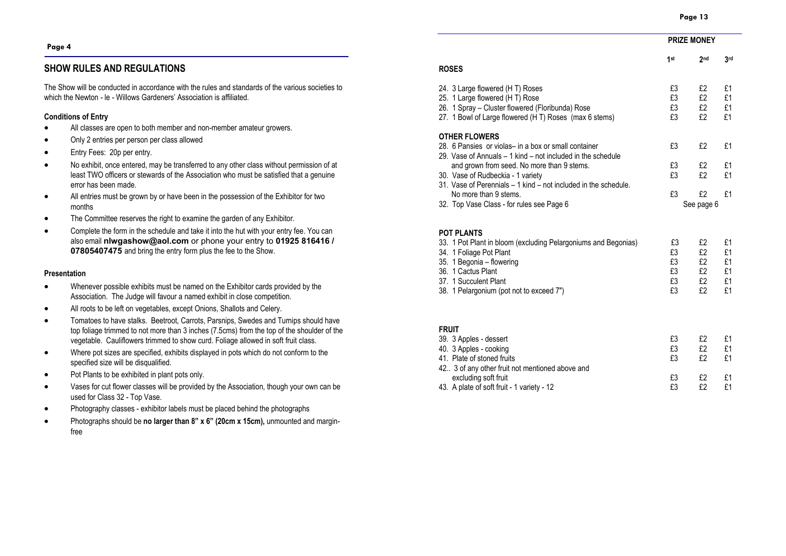**PRIZE MONEY**

#### **Page 4**

#### **SHOW RULES AND REGULATIONS**

The Show will be conducted in accordance with the rules and standards of the various societies to which the Newton - le - Willows Gardeners' Association is affiliated.

#### **Conditions of Entry**

- All classes are open to both member and non-member amateur growers.
- Only 2 entries per person per class allowed
- Entry Fees: 20p per entry.
- No exhibit, once entered, may be transferred to any other class without permission of at least TWO officers or stewards of the Association who must be satisfied that a genuine error has been made.
- All entries must be grown by or have been in the possession of the Exhibitor for two months
- The Committee reserves the right to examine the garden of any Exhibitor.
- Complete the form in the schedule and take it into the hut with your entry fee. You can also email **nlwgashow@aol.com** or phone your entry to **01925 816416 / 07805407475** and bring the entry form plus the fee to the Show.

#### **Presentation**

- Whenever possible exhibits must be named on the Exhibitor cards provided by the Association. The Judge will favour a named exhibit in close competition.
- All roots to be left on vegetables, except Onions, Shallots and Celery.
- Tomatoes to have stalks. Beetroot, Carrots, Parsnips, Swedes and Turnips should have top foliage trimmed to not more than 3 inches (7.5cms) from the top of the shoulder of the vegetable. Cauliflowers trimmed to show curd. Foliage allowed in soft fruit class.
- Where pot sizes are specified, exhibits displayed in pots which do not conform to the specified size will be disqualified.
- Pot Plants to be exhibited in plant pots only.
- Vases for cut flower classes will be provided by the Association, though your own can be used for Class 32 - Top Vase.
- Photography classes exhibitor labels must be placed behind the photographs
- Photographs should be **no larger than 8" x 6" (20cm x 15cm),** unmounted and marginfree

|                                                                 | 1st | 2 <sub>nd</sub> | 3rd |
|-----------------------------------------------------------------|-----|-----------------|-----|
| ROSES                                                           |     |                 |     |
| 24. 3 Large flowered (HT) Roses                                 | £3  | £2              | £1  |
| 25. 1 Large flowered (HT) Rose                                  | £3  | £2              | £1  |
| 26. 1 Spray – Cluster flowered (Floribunda) Rose                | £3  | £2              | £1  |
| 27. 1 Bowl of Large flowered (H T) Roses (max 6 stems)          | £3  | £2              | £1  |
| <b>OTHER FLOWERS</b>                                            |     |                 |     |
| 28. 6 Pansies or violas– in a box or small container            | £3  | f2              | £1  |
| 29. Vase of Annuals – 1 kind – not included in the schedule     |     |                 |     |
| and grown from seed. No more than 9 stems.                      | £3  | £2              | £1  |
| 30. Vase of Rudbeckia - 1 variety                               | £3  | f2              | £1  |
| 31. Vase of Perennials – 1 kind – not included in the schedule. |     |                 |     |
| No more than 9 stems.                                           | £3  | f2              | f1  |
| 32. Top Vase Class - for rules see Page 6                       |     | See page 6      |     |

#### **POT PLANTS**

| 33. 1 Pot Plant in bloom (excluding Pelargoniums and Begonias) | £3 | £1 |
|----------------------------------------------------------------|----|----|
| 34. 1 Foliage Pot Plant                                        | £3 | £1 |
| 35. 1 Begonia - flowering                                      | £3 | £1 |
| 36. 1 Cactus Plant                                             | £3 | £1 |
| 37. 1 Succulent Plant                                          | £3 | £1 |
| 38. 1 Pelargonium (pot not to exceed 7")                       | £3 |    |

#### **FRUIT**

| 39. 3 Apples - dessert                           | £3 |     |  |
|--------------------------------------------------|----|-----|--|
| 40. 3 Apples - cooking                           | £3 | F2  |  |
| 41. Plate of stoned fruits                       | £3 | £2  |  |
| 42. 3 of any other fruit not mentioned above and |    |     |  |
| excluding soft fruit                             | £3 | £2  |  |
| 43. A plate of soft fruit - 1 variety - 12       | £ን | ۴IJ |  |
|                                                  |    |     |  |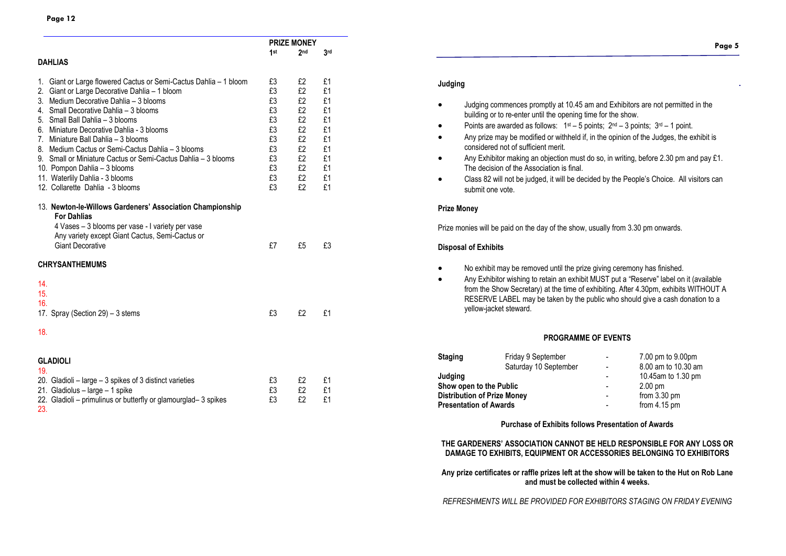|                                                                                                                                                                                                                   |                | <b>PRIZE MONEY</b> |                |
|-------------------------------------------------------------------------------------------------------------------------------------------------------------------------------------------------------------------|----------------|--------------------|----------------|
|                                                                                                                                                                                                                   | 1st            | 2 <sub>nd</sub>    | 3rd            |
| <b>DAHLIAS</b>                                                                                                                                                                                                    |                |                    |                |
| Giant or Large flowered Cactus or Semi-Cactus Dahlia - 1 bloom<br>1.                                                                                                                                              | £3             | £2                 | £1             |
| 2. Giant or Large Decorative Dahlia - 1 bloom                                                                                                                                                                     | £3             | £2                 | £1             |
| 3. Medium Decorative Dahlia - 3 blooms                                                                                                                                                                            | £3             | £2                 | £1             |
| 4. Small Decorative Dahlia - 3 blooms                                                                                                                                                                             | £3             | £2                 | £1             |
| 5. Small Ball Dahlia - 3 blooms                                                                                                                                                                                   | £3             | £2                 | £1             |
| 6. Miniature Decorative Dahlia - 3 blooms                                                                                                                                                                         | £3             | £2                 | £1             |
| 7. Miniature Ball Dahlia - 3 blooms                                                                                                                                                                               | £3             | £2                 | £1             |
| 8. Medium Cactus or Semi-Cactus Dahlia – 3 blooms                                                                                                                                                                 | £3             | £2                 | £1             |
| 9. Small or Miniature Cactus or Semi-Cactus Dahlia – 3 blooms                                                                                                                                                     | £3             | £2                 | £1             |
| 10. Pompon Dahlia - 3 blooms                                                                                                                                                                                      | £3             | £2                 | £1             |
| 11. Waterlily Dahlia - 3 blooms                                                                                                                                                                                   | £3             | £2                 | £1             |
| 12. Collarette Dahlia - 3 blooms                                                                                                                                                                                  | £3             | £2                 | £1             |
| 13. Newton-le-Willows Gardeners' Association Championship<br><b>For Dahlias</b><br>4 Vases - 3 blooms per vase - I variety per vase<br>Any variety except Giant Cactus, Semi-Cactus or<br><b>Giant Decorative</b> | £7             | £5                 | £3             |
| <b>CHRYSANTHEMUMS</b>                                                                                                                                                                                             |                |                    |                |
| 14.<br>15.<br>16.<br>17. Spray (Section 29) - 3 stems<br>18.                                                                                                                                                      | £3             | £2                 | £1             |
| <b>GLADIOLI</b>                                                                                                                                                                                                   |                |                    |                |
| 19.                                                                                                                                                                                                               |                |                    |                |
| 20. Gladioli - large - 3 spikes of 3 distinct varieties<br>21. Gladiolus - large - 1 spike<br>22. Gladioli - primulinus or butterfly or glamourglad-3 spikes<br>23.                                               | £3<br>£3<br>£3 | £2<br>£2<br>£2     | £1<br>£1<br>£1 |

# **Page 5**

#### **Judging**

- Judging commences promptly at 10.45 am and Exhibitors are not permitted in the building or to re-enter until the opening time for the show.
- Points are awarded as follows:  $1^{st} 5$  points;  $2^{nd} 3$  points;  $3^{rd} 1$  point.
- Any prize may be modified or withheld if, in the opinion of the Judges, the exhibit is considered not of sufficient merit.
- Any Exhibitor making an objection must do so, in writing, before 2.30 pm and pay £1. The decision of the Association is final.
- Class 82 will not be judged, it will be decided by the People's Choice. All visitors can submit one vote.

#### **Prize Money**

Prize monies will be paid on the day of the show, usually from 3.30 pm onwards.

#### **Disposal of Exhibits**

- No exhibit may be removed until the prize giving ceremony has finished.
- Any Exhibitor wishing to retain an exhibit MUST put a "Reserve" label on it (available from the Show Secretary) at the time of exhibiting. After 4.30pm, exhibits WITHOUT A RESERVE LABEL may be taken by the public who should give a cash donation to a yellow-jacket steward.

#### **PROGRAMME OF EVENTS**

| <b>Staging</b>                     | Friday 9 September    |   | 7.00 pm to 9.00pm      |
|------------------------------------|-----------------------|---|------------------------|
|                                    | Saturday 10 September |   | 8.00 am to 10.30 am    |
| Judging                            |                       |   | 10.45am to 1.30 pm     |
| Show open to the Public            |                       |   | $2.00 \text{ pm}$      |
| <b>Distribution of Prize Money</b> |                       | ۰ | from $3.30 \text{ pm}$ |
| <b>Presentation of Awards</b>      |                       |   | from $4.15$ pm         |
|                                    |                       |   |                        |

#### **Purchase of Exhibits follows Presentation of Awards**

**THE GARDENERS' ASSOCIATION CANNOT BE HELD RESPONSIBLE FOR ANY LOSS OR DAMAGE TO EXHIBITS, EQUIPMENT OR ACCESSORIES BELONGING TO EXHIBITORS**

**Any prize certificates or raffle prizes left at the show will be taken to the Hut on Rob Lane and must be collected within 4 weeks.**

*REFRESHMENTS WILL BE PROVIDED FOR EXHIBITORS STAGING ON FRIDAY EVENING*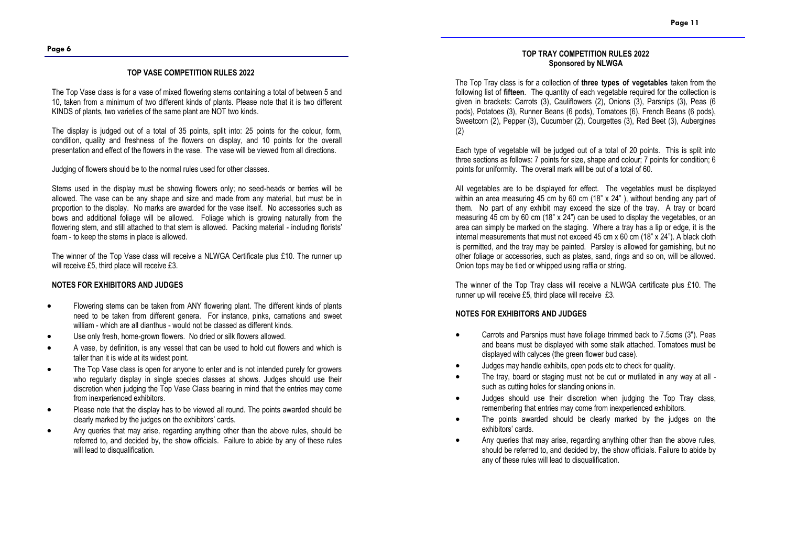#### **TOP VASE COMPETITION RULES 2022**

The Top Vase class is for a vase of mixed flowering stems containing a total of between 5 and 10, taken from a minimum of two different kinds of plants. Please note that it is two different KINDS of plants, two varieties of the same plant are NOT two kinds.

The display is judged out of a total of 35 points, split into: 25 points for the colour, form, condition, quality and freshness of the flowers on display, and 10 points for the overall presentation and effect of the flowers in the vase. The vase will be viewed from all directions.

Judging of flowers should be to the normal rules used for other classes.

Stems used in the display must be showing flowers only; no seed-heads or berries will be allowed. The vase can be any shape and size and made from any material, but must be in proportion to the display. No marks are awarded for the vase itself. No accessories such as bows and additional foliage will be allowed. Foliage which is growing naturally from the flowering stem, and still attached to that stem is allowed. Packing material - including florists' foam - to keep the stems in place is allowed.

The winner of the Top Vase class will receive a NLWGA Certificate plus £10. The runner up will receive £5, third place will receive £3.

#### **NOTES FOR EXHIBITORS AND JUDGES**

- Flowering stems can be taken from ANY flowering plant. The different kinds of plants need to be taken from different genera. For instance, pinks, carnations and sweet william - which are all dianthus - would not be classed as different kinds.
- Use only fresh, home-grown flowers. No dried or silk flowers allowed.
- A vase, by definition, is any vessel that can be used to hold cut flowers and which is taller than it is wide at its widest point.
- The Top Vase class is open for anyone to enter and is not intended purely for growers who regularly display in single species classes at shows. Judges should use their discretion when judging the Top Vase Class bearing in mind that the entries may come from inexperienced exhibitors.
- Please note that the display has to be viewed all round. The points awarded should be clearly marked by the judges on the exhibitors' cards.
- Any queries that may arise, regarding anything other than the above rules, should be referred to, and decided by, the show officials. Failure to abide by any of these rules will lead to disqualification.

#### **TOP TRAY COMPETITION RULES 2022 Sponsored by NLWGA**

The Top Tray class is for a collection of **three types of vegetables** taken from the following list of **fifteen**. The quantity of each vegetable required for the collection is given in brackets: Carrots (3), Cauliflowers (2), Onions (3), Parsnips (3), Peas (6 pods), Potatoes (3), Runner Beans (6 pods), Tomatoes (6), French Beans (6 pods), Sweetcorn (2), Pepper (3), Cucumber (2), Courgettes (3), Red Beet (3), Aubergines (2)

Each type of vegetable will be judged out of a total of 20 points. This is split into three sections as follows: 7 points for size, shape and colour; 7 points for condition; 6 points for uniformity. The overall mark will be out of a total of 60.

All vegetables are to be displayed for effect. The vegetables must be displayed within an area measuring 45 cm by 60 cm (18" x 24"), without bending any part of them. No part of any exhibit may exceed the size of the tray. A tray or board measuring 45 cm by 60 cm (18" x 24") can be used to display the vegetables, or an area can simply be marked on the staging. Where a tray has a lip or edge, it is the internal measurements that must not exceed 45 cm x 60 cm (18" x 24"). A black cloth is permitted, and the tray may be painted. Parsley is allowed for garnishing, but no other foliage or accessories, such as plates, sand, rings and so on, will be allowed. Onion tops may be tied or whipped using raffia or string.

The winner of the Top Tray class will receive a NLWGA certificate plus £10. The runner up will receive £5, third place will receive £3.

#### **NOTES FOR EXHIBITORS AND JUDGES**

- Carrots and Parsnips must have foliage trimmed back to 7.5cms (3"). Peas and beans must be displayed with some stalk attached. Tomatoes must be displayed with calyces (the green flower bud case).
- Judges may handle exhibits, open pods etc to check for quality.
- The tray, board or staging must not be cut or mutilated in any way at all such as cutting holes for standing onions in.
- Judges should use their discretion when judging the Top Tray class, remembering that entries may come from inexperienced exhibitors.
- The points awarded should be clearly marked by the judges on the exhibitors' cards.
- Any queries that may arise, regarding anything other than the above rules, should be referred to, and decided by, the show officials. Failure to abide by any of these rules will lead to disqualification.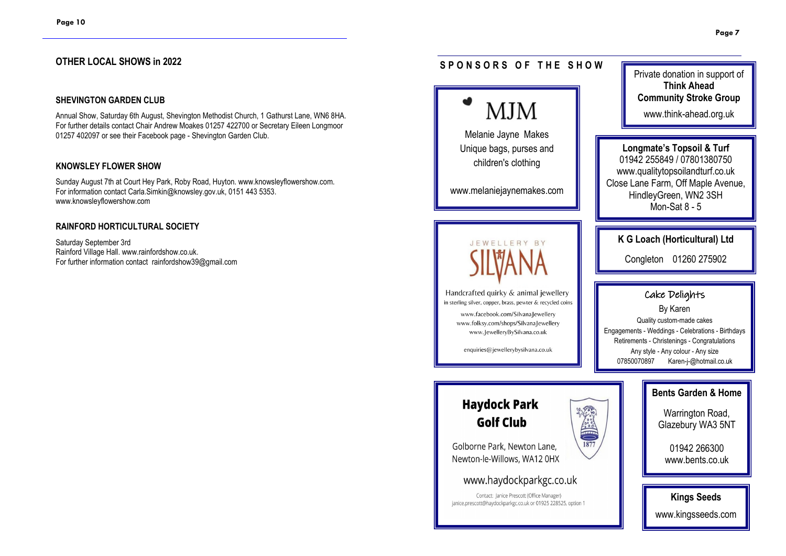#### **OTHER LOCAL SHOWS in 2022**

#### **SHEVINGTON GARDEN CLUB**

Annual Show, Saturday 6th August, Shevington Methodist Church, 1 Gathurst Lane, WN6 8HA. For further details contact Chair Andrew Moakes 01257 422700 or Secretary Eileen Longmoor 01257 402097 or see their Facebook page - Shevington Garden Club.

#### **KNOWSLEY FLOWER SHOW**

Sunday August 7th at Court Hey Park, Roby Road, Huyton. www.knowsleyflowershow.com. For information contact Carla.Simkin@knowsley.gov.uk, 0151 443 5353. www.knowsleyflowershow.com

#### **RAINFORD HORTICULTURAL SOCIETY**

Saturday September 3rd Rainford Village Hall. www.rainfordshow.co.uk. For further information contact rainfordshow39@gmail.com